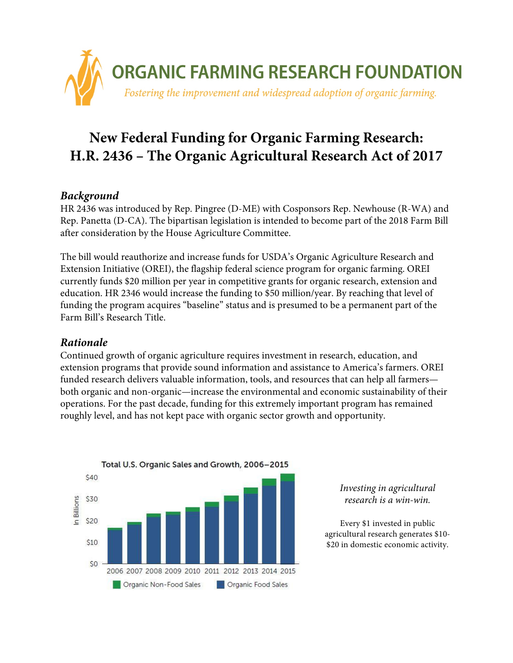

# **New Federal Funding for Organic Farming Research: H.R. 2436 – The Organic Agricultural Research Act of 2017**

## *Background*

HR 2436 was introduced by Rep. Pingree (D-ME) with Cosponsors Rep. Newhouse (R-WA) and Rep. Panetta (D-CA). The bipartisan legislation is intended to become part of the 2018 Farm Bill after consideration by the House Agriculture Committee.

The bill would reauthorize and increase funds for USDA's Organic Agriculture Research and Extension Initiative (OREI), the flagship federal science program for organic farming. OREI currently funds \$20 million per year in competitive grants for organic research, extension and education. HR 2346 would increase the funding to \$50 million/year. By reaching that level of funding the program acquires "baseline" status and is presumed to be a permanent part of the Farm Bill's Research Title.

## *Rationale*

Continued growth of organic agriculture requires investment in research, education, and extension programs that provide sound information and assistance to America's farmers. OREI funded research delivers valuable information, tools, and resources that can help all farmers both organic and non-organic—increase the environmental and economic sustainability of their operations. For the past decade, funding for this extremely important program has remained roughly level, and has not kept pace with organic sector growth and opportunity.



#### *Investing in agricultural research is a win-win.*

Every \$1 invested in public agricultural research generates \$10- \$20 in domestic economic activity.